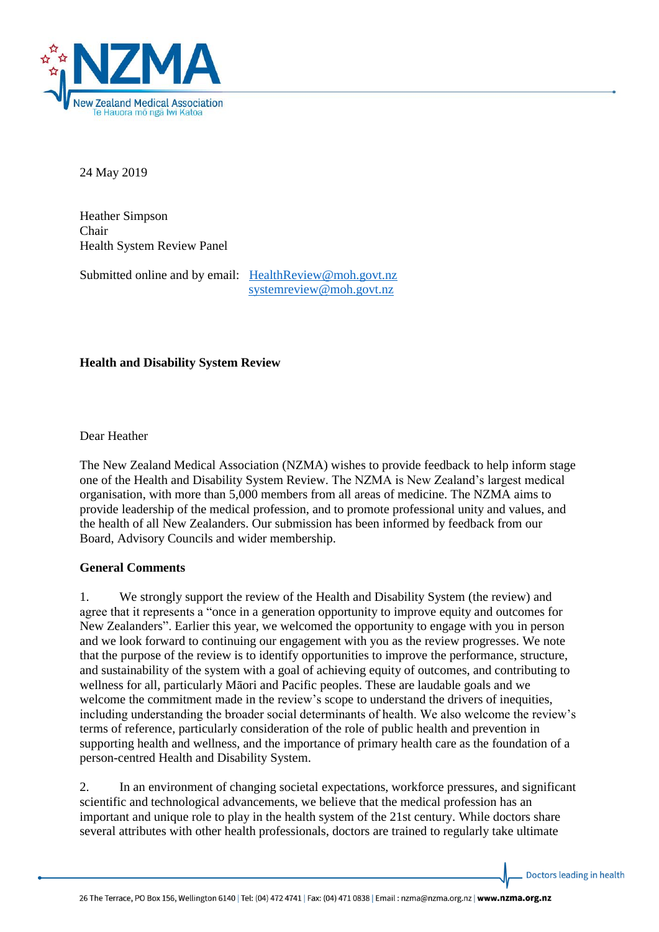

24 May 2019

Heather Simpson Chair Health System Review Panel

Submitted online and by email: HealthReview@moh.govt.nz [systemreview@moh.govt.nz](mailto:systemreview@moh.govt.nz)

**Health and Disability System Review**

Dear Heather

The New Zealand Medical Association (NZMA) wishes to provide feedback to help inform stage one of the Health and Disability System Review. The NZMA is New Zealand's largest medical organisation, with more than 5,000 members from all areas of medicine. The NZMA aims to provide leadership of the medical profession, and to promote professional unity and values, and the health of all New Zealanders. Our submission has been informed by feedback from our Board, Advisory Councils and wider membership.

### **General Comments**

1. We strongly support the review of the Health and Disability System (the review) and agree that it represents a "once in a generation opportunity to improve equity and outcomes for New Zealanders". Earlier this year, we welcomed the opportunity to engage with you in person and we look forward to continuing our engagement with you as the review progresses. We note that the purpose of the review is to identify opportunities to improve the performance, structure, and sustainability of the system with a goal of achieving equity of outcomes, and contributing to wellness for all, particularly Māori and Pacific peoples. These are laudable goals and we welcome the commitment made in the review's scope to understand the drivers of inequities, including understanding the broader social determinants of health. We also welcome the review's terms of reference, particularly consideration of the role of public health and prevention in supporting health and wellness, and the importance of primary health care as the foundation of a person-centred Health and Disability System.

2. In an environment of changing societal expectations, workforce pressures, and significant scientific and technological advancements, we believe that the medical profession has an important and unique role to play in the health system of the 21st century. While doctors share several attributes with other health professionals, doctors are trained to regularly take ultimate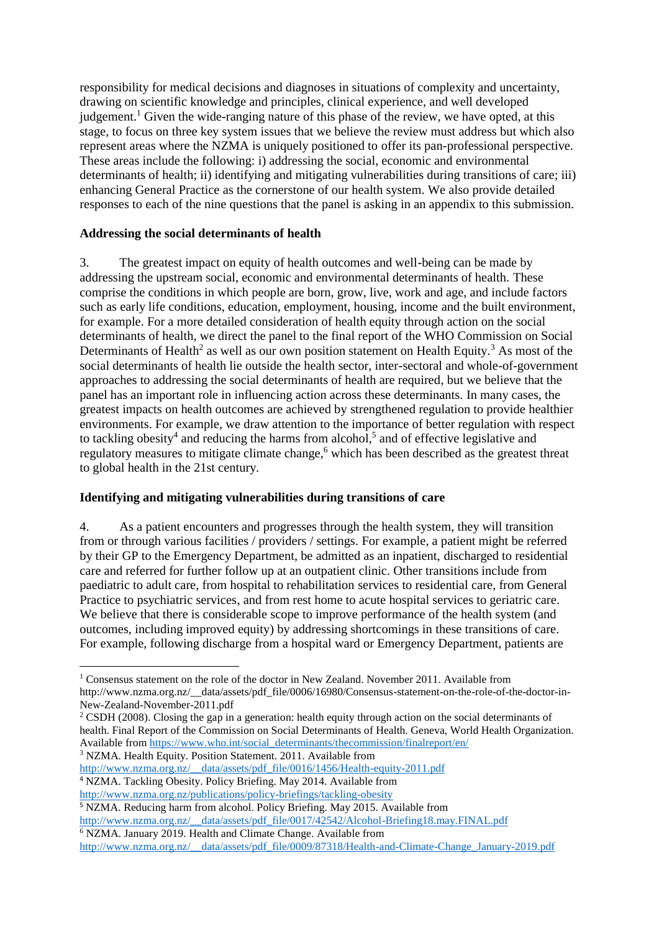responsibility for medical decisions and diagnoses in situations of complexity and uncertainty, drawing on scientific knowledge and principles, clinical experience, and well developed iudgement.<sup>1</sup> Given the wide-ranging nature of this phase of the review, we have opted, at this stage, to focus on three key system issues that we believe the review must address but which also represent areas where the NZMA is uniquely positioned to offer its pan-professional perspective. These areas include the following: i) addressing the social, economic and environmental determinants of health; ii) identifying and mitigating vulnerabilities during transitions of care; iii) enhancing General Practice as the cornerstone of our health system. We also provide detailed responses to each of the nine questions that the panel is asking in an appendix to this submission.

### **Addressing the social determinants of health**

3. The greatest impact on equity of health outcomes and well-being can be made by addressing the upstream social, economic and environmental determinants of health. These comprise the conditions in which people are born, grow, live, work and age, and include factors such as early life conditions, education, employment, housing, income and the built environment, for example. For a more detailed consideration of health equity through action on the social determinants of health, we direct the panel to the final report of the WHO Commission on Social Determinants of Health<sup>2</sup> as well as our own position statement on Health Equity.<sup>3</sup> As most of the social determinants of health lie outside the health sector, inter-sectoral and whole-of-government approaches to addressing the social determinants of health are required, but we believe that the panel has an important role in influencing action across these determinants. In many cases, the greatest impacts on health outcomes are achieved by strengthened regulation to provide healthier environments. For example, we draw attention to the importance of better regulation with respect to tackling obesity<sup>4</sup> and reducing the harms from alcohol,<sup>5</sup> and of effective legislative and regulatory measures to mitigate climate change,<sup>6</sup> which has been described as the greatest threat to global health in the 21st century.

# **Identifying and mitigating vulnerabilities during transitions of care**

4. As a patient encounters and progresses through the health system, they will transition from or through various facilities / providers / settings. For example, a patient might be referred by their GP to the Emergency Department, be admitted as an inpatient, discharged to residential care and referred for further follow up at an outpatient clinic. Other transitions include from paediatric to adult care, from hospital to rehabilitation services to residential care, from General Practice to psychiatric services, and from rest home to acute hospital services to geriatric care. We believe that there is considerable scope to improve performance of the health system (and outcomes, including improved equity) by addressing shortcomings in these transitions of care. For example, following discharge from a hospital ward or Emergency Department, patients are

<sup>3</sup> NZMA. Health Equity. Position Statement. 2011. Available from

1

[http://www.nzma.org.nz/\\_\\_data/assets/pdf\\_file/0016/1456/Health-equity-2011.pdf](http://www.nzma.org.nz/__data/assets/pdf_file/0016/1456/Health-equity-2011.pdf) <sup>4</sup> NZMA. Tackling Obesity. Policy Briefing. May 2014. Available from

<sup>&</sup>lt;sup>1</sup> Consensus statement on the role of the doctor in New Zealand. November 2011. Available from http://www.nzma.org.nz/\_\_data/assets/pdf\_file/0006/16980/Consensus-statement-on-the-role-of-the-doctor-in-New-Zealand-November-2011.pdf

<sup>&</sup>lt;sup>2</sup> CSDH (2008). Closing the gap in a generation: health equity through action on the social determinants of health. Final Report of the Commission on Social Determinants of Health. Geneva, World Health Organization. Available from [https://www.who.int/social\\_determinants/thecommission/finalreport/en/](https://www.who.int/social_determinants/thecommission/finalreport/en/)

<http://www.nzma.org.nz/publications/policy-briefings/tackling-obesity>

<sup>&</sup>lt;sup>5</sup> NZMA. Reducing harm from alcohol. Policy Briefing. May 2015. Available from

[http://www.nzma.org.nz/\\_\\_data/assets/pdf\\_file/0017/42542/Alcohol-Briefing18.may.FINAL.pdf](http://www.nzma.org.nz/__data/assets/pdf_file/0017/42542/Alcohol-Briefing18.may.FINAL.pdf)

<sup>&</sup>lt;sup>6</sup> NZMA. January 2019. Health and Climate Change. Available from

[http://www.nzma.org.nz/\\_\\_data/assets/pdf\\_file/0009/87318/Health-and-Climate-Change\\_January-2019.pdf](http://www.nzma.org.nz/__data/assets/pdf_file/0009/87318/Health-and-Climate-Change_January-2019.pdf)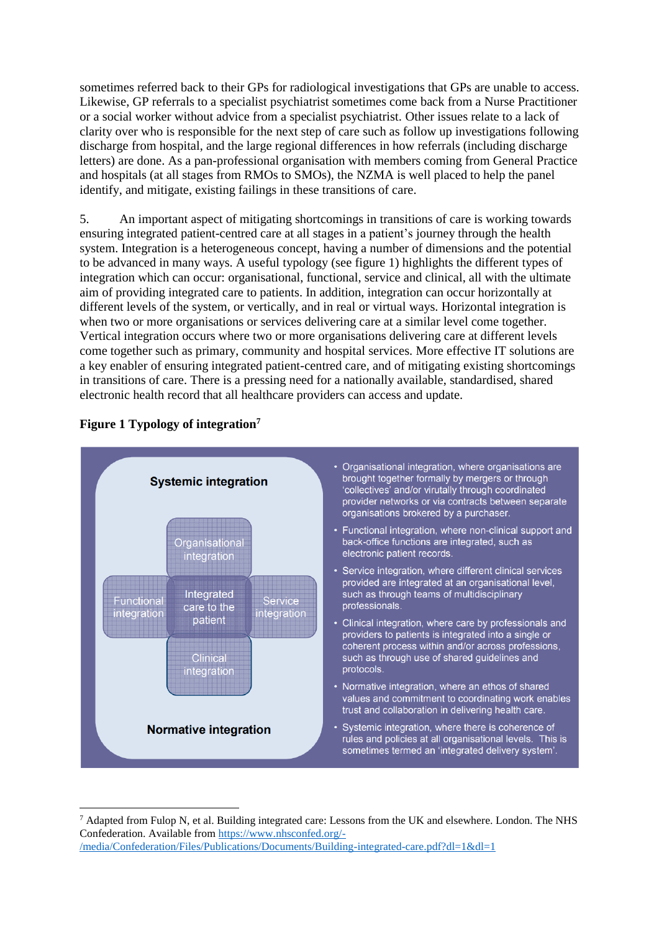sometimes referred back to their GPs for radiological investigations that GPs are unable to access. Likewise, GP referrals to a specialist psychiatrist sometimes come back from a Nurse Practitioner or a social worker without advice from a specialist psychiatrist. Other issues relate to a lack of clarity over who is responsible for the next step of care such as follow up investigations following discharge from hospital, and the large regional differences in how referrals (including discharge letters) are done. As a pan-professional organisation with members coming from General Practice and hospitals (at all stages from RMOs to SMOs), the NZMA is well placed to help the panel identify, and mitigate, existing failings in these transitions of care.

5. An important aspect of mitigating shortcomings in transitions of care is working towards ensuring integrated patient-centred care at all stages in a patient's journey through the health system. Integration is a heterogeneous concept, having a number of dimensions and the potential to be advanced in many ways. A useful typology (see figure 1) highlights the different types of integration which can occur: organisational, functional, service and clinical, all with the ultimate aim of providing integrated care to patients. In addition, integration can occur horizontally at different levels of the system, or vertically, and in real or virtual ways. Horizontal integration is when two or more organisations or services delivering care at a similar level come together. Vertical integration occurs where two or more organisations delivering care at different levels come together such as primary, community and hospital services. More effective IT solutions are a key enabler of ensuring integrated patient-centred care, and of mitigating existing shortcomings in transitions of care. There is a pressing need for a nationally available, standardised, shared electronic health record that all healthcare providers can access and update.



# **Figure 1 Typology of integration<sup>7</sup>**

 $\overline{\phantom{a}}$ 

 $^7$  Adapted from Fulop N, et al. Building integrated care: Lessons from the UK and elsewhere. London. The NHS Confederation. Available from [https://www.nhsconfed.org/-](https://www.nhsconfed.org/-/media/Confederation/Files/Publications/Documents/Building-integrated-care.pdf?dl=1&dl=1) [/media/Confederation/Files/Publications/Documents/Building-integrated-care.pdf?dl=1&dl=1](https://www.nhsconfed.org/-/media/Confederation/Files/Publications/Documents/Building-integrated-care.pdf?dl=1&dl=1)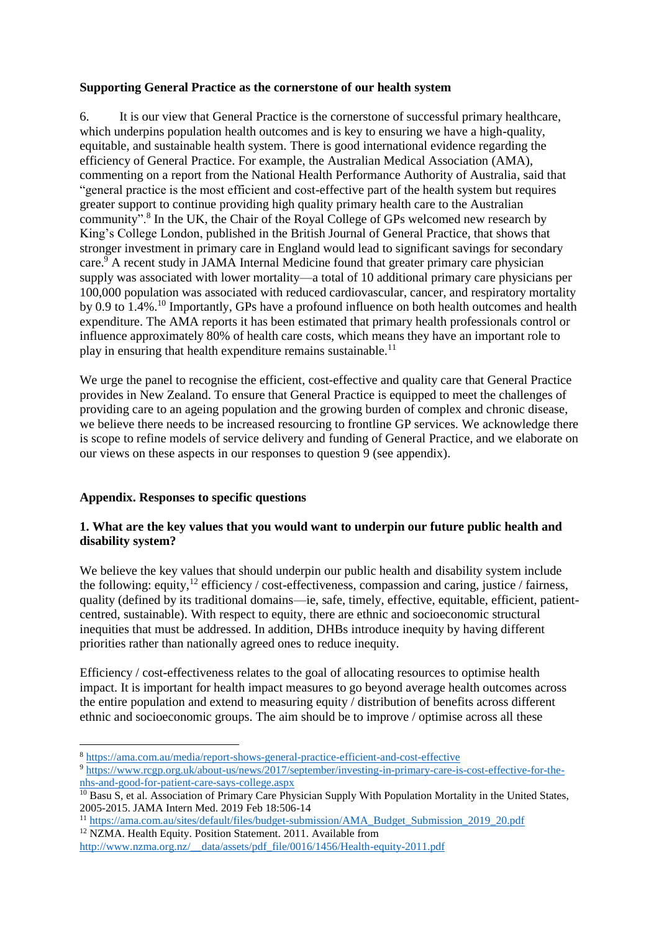#### **Supporting General Practice as the cornerstone of our health system**

6. It is our view that General Practice is the cornerstone of successful primary healthcare, which underpins population health outcomes and is key to ensuring we have a high-quality, equitable, and sustainable health system. There is good international evidence regarding the efficiency of General Practice. For example, the Australian Medical Association (AMA), commenting on a report from the National Health Performance Authority of Australia, said that "general practice is the most efficient and cost-effective part of the health system but requires greater support to continue providing high quality primary health care to the Australian community".<sup>8</sup> In the UK, the Chair of the Royal College of GPs welcomed new research by King's College London, published in the British Journal of General Practice, that shows that stronger investment in primary care in England would lead to significant savings for secondary care.  $9$  A recent study in JAMA Internal Medicine found that greater primary care physician supply was associated with lower mortality—a total of 10 additional primary care physicians per 100,000 population was associated with reduced cardiovascular, cancer, and respiratory mortality by 0.9 to 1.4%.<sup>10</sup> Importantly, GPs have a profound influence on both health outcomes and health expenditure. The AMA reports it has been estimated that primary health professionals control or influence approximately 80% of health care costs, which means they have an important role to play in ensuring that health expenditure remains sustainable.<sup>11</sup>

We urge the panel to recognise the efficient, cost-effective and quality care that General Practice provides in New Zealand. To ensure that General Practice is equipped to meet the challenges of providing care to an ageing population and the growing burden of complex and chronic disease, we believe there needs to be increased resourcing to frontline GP services. We acknowledge there is scope to refine models of service delivery and funding of General Practice, and we elaborate on our views on these aspects in our responses to question 9 (see appendix).

### **Appendix. Responses to specific questions**

1

### **1. What are the key values that you would want to underpin our future public health and disability system?**

We believe the key values that should underpin our public health and disability system include the following: equity,  $^{12}$  efficiency / cost-effectiveness, compassion and caring, justice / fairness, quality (defined by its traditional domains—ie, safe, timely, effective, equitable, efficient, patientcentred, sustainable). With respect to equity, there are ethnic and socioeconomic structural inequities that must be addressed. In addition, DHBs introduce inequity by having different priorities rather than nationally agreed ones to reduce inequity.

Efficiency / cost-effectiveness relates to the goal of allocating resources to optimise health impact. It is important for health impact measures to go beyond average health outcomes across the entire population and extend to measuring equity / distribution of benefits across different ethnic and socioeconomic groups. The aim should be to improve / optimise across all these

<sup>11</sup> [https://ama.com.au/sites/default/files/budget-submission/AMA\\_Budget\\_Submission\\_2019\\_20.pdf](https://ama.com.au/sites/default/files/budget-submission/AMA_Budget_Submission_2019_20.pdf)

<sup>12</sup> NZMA. Health Equity. Position Statement. 2011. Available from

[http://www.nzma.org.nz/\\_\\_data/assets/pdf\\_file/0016/1456/Health-equity-2011.pdf](http://www.nzma.org.nz/__data/assets/pdf_file/0016/1456/Health-equity-2011.pdf)

<sup>8</sup> <https://ama.com.au/media/report-shows-general-practice-efficient-and-cost-effective>

<sup>&</sup>lt;sup>9</sup> [https://www.rcgp.org.uk/about-us/news/2017/september/investing-in-primary-care-is-cost-effective-for-the](https://www.rcgp.org.uk/about-us/news/2017/september/investing-in-primary-care-is-cost-effective-for-the-nhs-and-good-for-patient-care-says-college.aspx)[nhs-and-good-for-patient-care-says-college.aspx](https://www.rcgp.org.uk/about-us/news/2017/september/investing-in-primary-care-is-cost-effective-for-the-nhs-and-good-for-patient-care-says-college.aspx)

<sup>&</sup>lt;sup>10</sup> Basu S, et al. Association of Primary Care Physician Supply With Population Mortality in the United States, 2005-2015. JAMA Intern Med. 2019 Feb 18:506-14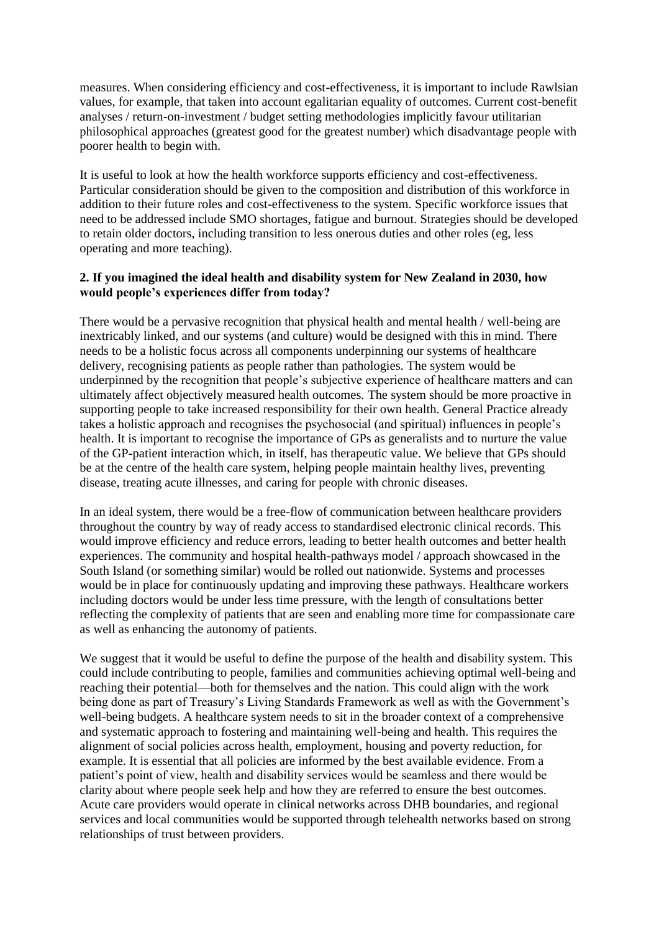measures. When considering efficiency and cost-effectiveness, it is important to include Rawlsian values, for example, that taken into account egalitarian equality of outcomes. Current cost-benefit analyses / return-on-investment / budget setting methodologies implicitly favour utilitarian philosophical approaches (greatest good for the greatest number) which disadvantage people with poorer health to begin with.

It is useful to look at how the health workforce supports efficiency and cost-effectiveness. Particular consideration should be given to the composition and distribution of this workforce in addition to their future roles and cost-effectiveness to the system. Specific workforce issues that need to be addressed include SMO shortages, fatigue and burnout. Strategies should be developed to retain older doctors, including transition to less onerous duties and other roles (eg, less operating and more teaching).

## **2. If you imagined the ideal health and disability system for New Zealand in 2030, how would people's experiences differ from today?**

There would be a pervasive recognition that physical health and mental health / well-being are inextricably linked, and our systems (and culture) would be designed with this in mind. There needs to be a holistic focus across all components underpinning our systems of healthcare delivery, recognising patients as people rather than pathologies. The system would be underpinned by the recognition that people's subjective experience of healthcare matters and can ultimately affect objectively measured health outcomes. The system should be more proactive in supporting people to take increased responsibility for their own health. General Practice already takes a holistic approach and recognises the psychosocial (and spiritual) influences in people's health. It is important to recognise the importance of GPs as generalists and to nurture the value of the GP-patient interaction which, in itself, has therapeutic value. We believe that GPs should be at the centre of the health care system, helping people maintain healthy lives, preventing disease, treating acute illnesses, and caring for people with chronic diseases.

In an ideal system, there would be a free-flow of communication between healthcare providers throughout the country by way of ready access to standardised electronic clinical records. This would improve efficiency and reduce errors, leading to better health outcomes and better health experiences. The community and hospital health-pathways model / approach showcased in the South Island (or something similar) would be rolled out nationwide. Systems and processes would be in place for continuously updating and improving these pathways. Healthcare workers including doctors would be under less time pressure, with the length of consultations better reflecting the complexity of patients that are seen and enabling more time for compassionate care as well as enhancing the autonomy of patients.

We suggest that it would be useful to define the purpose of the health and disability system. This could include contributing to people, families and communities achieving optimal well-being and reaching their potential—both for themselves and the nation. This could align with the work being done as part of Treasury's Living Standards Framework as well as with the Government's well-being budgets. A healthcare system needs to sit in the broader context of a comprehensive and systematic approach to fostering and maintaining well-being and health. This requires the alignment of social policies across health, employment, housing and poverty reduction, for example. It is essential that all policies are informed by the best available evidence. From a patient's point of view, health and disability services would be seamless and there would be clarity about where people seek help and how they are referred to ensure the best outcomes. Acute care providers would operate in clinical networks across DHB boundaries, and regional services and local communities would be supported through telehealth networks based on strong relationships of trust between providers.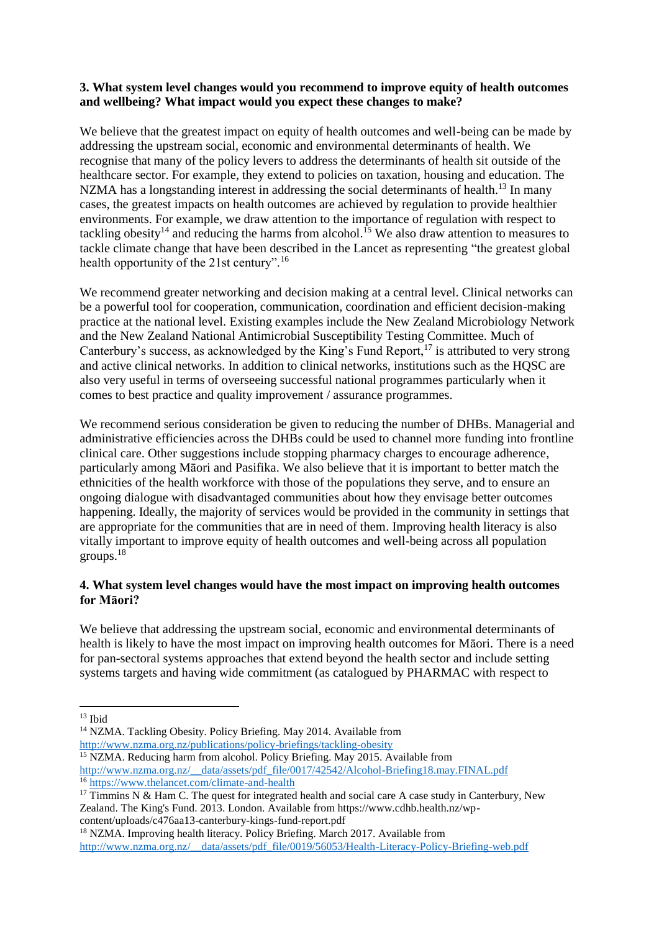## **3. What system level changes would you recommend to improve equity of health outcomes and wellbeing? What impact would you expect these changes to make?**

We believe that the greatest impact on equity of health outcomes and well-being can be made by addressing the upstream social, economic and environmental determinants of health. We recognise that many of the policy levers to address the determinants of health sit outside of the healthcare sector. For example, they extend to policies on taxation, housing and education. The NZMA has a longstanding interest in addressing the social determinants of health.<sup>13</sup> In many cases, the greatest impacts on health outcomes are achieved by regulation to provide healthier environments. For example, we draw attention to the importance of regulation with respect to tackling obesity<sup>14</sup> and reducing the harms from alcohol.<sup>15</sup> We also draw attention to measures to tackle climate change that have been described in the Lancet as representing "the greatest global health opportunity of the 21st century".<sup>16</sup>

We recommend greater networking and decision making at a central level. Clinical networks can be a powerful tool for cooperation, communication, coordination and efficient decision-making practice at the national level. Existing examples include the New Zealand Microbiology Network and the New Zealand National Antimicrobial Susceptibility Testing Committee. Much of Canterbury's success, as acknowledged by the King's Fund Report,  $17$  is attributed to very strong and active clinical networks. In addition to clinical networks, institutions such as the HQSC are also very useful in terms of overseeing successful national programmes particularly when it comes to best practice and quality improvement / assurance programmes.

We recommend serious consideration be given to reducing the number of DHBs. Managerial and administrative efficiencies across the DHBs could be used to channel more funding into frontline clinical care. Other suggestions include stopping pharmacy charges to encourage adherence, particularly among Māori and Pasifika. We also believe that it is important to better match the ethnicities of the health workforce with those of the populations they serve, and to ensure an ongoing dialogue with disadvantaged communities about how they envisage better outcomes happening. Ideally, the majority of services would be provided in the community in settings that are appropriate for the communities that are in need of them. Improving health literacy is also vitally important to improve equity of health outcomes and well-being across all population groups.<sup>18</sup>

# **4. What system level changes would have the most impact on improving health outcomes for Māori?**

We believe that addressing the upstream social, economic and environmental determinants of health is likely to have the most impact on improving health outcomes for Māori. There is a need for pan-sectoral systems approaches that extend beyond the health sector and include setting systems targets and having wide commitment (as catalogued by PHARMAC with respect to

<sup>15</sup> NZMA. Reducing harm from alcohol. Policy Briefing. May 2015. Available from [http://www.nzma.org.nz/\\_\\_data/assets/pdf\\_file/0017/42542/Alcohol-Briefing18.may.FINAL.pdf](http://www.nzma.org.nz/__data/assets/pdf_file/0017/42542/Alcohol-Briefing18.may.FINAL.pdf)

<sup>1</sup>  $13$  Ibid

<sup>&</sup>lt;sup>14</sup> NZMA. Tackling Obesity. Policy Briefing. May 2014. Available from <http://www.nzma.org.nz/publications/policy-briefings/tackling-obesity>

<sup>&</sup>lt;sup>16</sup> <https://www.thelancet.com/climate-and-health>

<sup>&</sup>lt;sup>17</sup> Timmins N & Ham C. The quest for integrated health and social care A case study in Canterbury, New Zealand. The King's Fund. 2013. London. Available from https://www.cdhb.health.nz/wpcontent/uploads/c476aa13-canterbury-kings-fund-report.pdf

<sup>&</sup>lt;sup>18</sup> NZMA. Improving health literacy. Policy Briefing. March 2017. Available from [http://www.nzma.org.nz/\\_\\_data/assets/pdf\\_file/0019/56053/Health-Literacy-Policy-Briefing-web.pdf](http://www.nzma.org.nz/__data/assets/pdf_file/0019/56053/Health-Literacy-Policy-Briefing-web.pdf)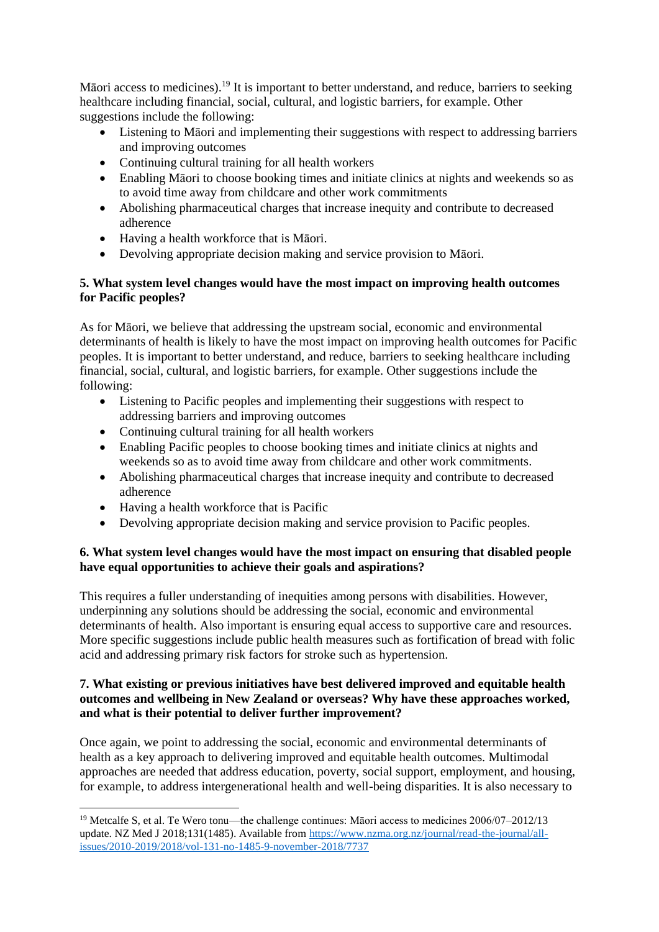Māori access to medicines).<sup>19</sup> It is important to better understand, and reduce, barriers to seeking healthcare including financial, social, cultural, and logistic barriers, for example. Other suggestions include the following:

- Listening to Māori and implementing their suggestions with respect to addressing barriers and improving outcomes
- Continuing cultural training for all health workers
- Enabling Māori to choose booking times and initiate clinics at nights and weekends so as to avoid time away from childcare and other work commitments
- Abolishing pharmaceutical charges that increase inequity and contribute to decreased adherence
- Having a health workforce that is Māori.
- Devolving appropriate decision making and service provision to Māori.

# **5. What system level changes would have the most impact on improving health outcomes for Pacific peoples?**

As for Māori, we believe that addressing the upstream social, economic and environmental determinants of health is likely to have the most impact on improving health outcomes for Pacific peoples. It is important to better understand, and reduce, barriers to seeking healthcare including financial, social, cultural, and logistic barriers, for example. Other suggestions include the following:

- Listening to Pacific peoples and implementing their suggestions with respect to addressing barriers and improving outcomes
- Continuing cultural training for all health workers
- Enabling Pacific peoples to choose booking times and initiate clinics at nights and weekends so as to avoid time away from childcare and other work commitments.
- Abolishing pharmaceutical charges that increase inequity and contribute to decreased adherence
- Having a health workforce that is Pacific

 $\overline{\phantom{a}}$ 

• Devolving appropriate decision making and service provision to Pacific peoples.

# **6. What system level changes would have the most impact on ensuring that disabled people have equal opportunities to achieve their goals and aspirations?**

This requires a fuller understanding of inequities among persons with disabilities. However, underpinning any solutions should be addressing the social, economic and environmental determinants of health. Also important is ensuring equal access to supportive care and resources. More specific suggestions include public health measures such as fortification of bread with folic acid and addressing primary risk factors for stroke such as hypertension.

## **7. What existing or previous initiatives have best delivered improved and equitable health outcomes and wellbeing in New Zealand or overseas? Why have these approaches worked, and what is their potential to deliver further improvement?**

Once again, we point to addressing the social, economic and environmental determinants of health as a key approach to delivering improved and equitable health outcomes. Multimodal approaches are needed that address education, poverty, social support, employment, and housing, for example, to address intergenerational health and well-being disparities. It is also necessary to

<sup>&</sup>lt;sup>19</sup> Metcalfe S, et al. Te Wero tonu—the challenge continues: Maori access to medicines  $2006/07-2012/13$ update. NZ Med J 2018;131(1485). Available from [https://www.nzma.org.nz/journal/read-the-journal/all](https://www.nzma.org.nz/journal/read-the-journal/all-issues/2010-2019/2018/vol-131-no-1485-9-november-2018/7737)[issues/2010-2019/2018/vol-131-no-1485-9-november-2018/7737](https://www.nzma.org.nz/journal/read-the-journal/all-issues/2010-2019/2018/vol-131-no-1485-9-november-2018/7737)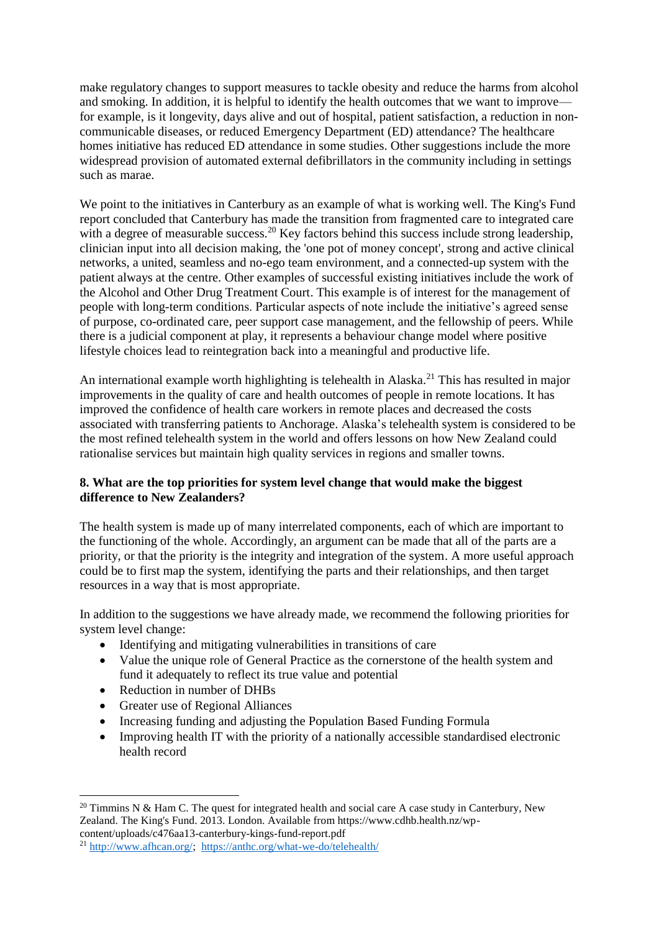make regulatory changes to support measures to tackle obesity and reduce the harms from alcohol and smoking. In addition, it is helpful to identify the health outcomes that we want to improve for example, is it longevity, days alive and out of hospital, patient satisfaction, a reduction in noncommunicable diseases, or reduced Emergency Department (ED) attendance? The healthcare homes initiative has reduced ED attendance in some studies. Other suggestions include the more widespread provision of automated external defibrillators in the community including in settings such as marae.

We point to the initiatives in Canterbury as an example of what is working well. The King's Fund report concluded that Canterbury has made the transition from fragmented care to integrated care with a degree of measurable success.<sup>20</sup> Key factors behind this success include strong leadership, clinician input into all decision making, the 'one pot of money concept', strong and active clinical networks, a united, seamless and no-ego team environment, and a connected-up system with the patient always at the centre. Other examples of successful existing initiatives include the work of the Alcohol and Other Drug Treatment Court. This example is of interest for the management of people with long-term conditions. Particular aspects of note include the initiative's agreed sense of purpose, co-ordinated care, peer support case management, and the fellowship of peers. While there is a judicial component at play, it represents a behaviour change model where positive lifestyle choices lead to reintegration back into a meaningful and productive life.

An international example worth highlighting is telehealth in Alaska.<sup>21</sup> This has resulted in major improvements in the quality of care and health outcomes of people in remote locations. It has improved the confidence of health care workers in remote places and decreased the costs associated with transferring patients to Anchorage. Alaska's telehealth system is considered to be the most refined telehealth system in the world and offers lessons on how New Zealand could rationalise services but maintain high quality services in regions and smaller towns.

### **8. What are the top priorities for system level change that would make the biggest difference to New Zealanders?**

The health system is made up of many interrelated components, each of which are important to the functioning of the whole. Accordingly, an argument can be made that all of the parts are a priority, or that the priority is the integrity and integration of the system. A more useful approach could be to first map the system, identifying the parts and their relationships, and then target resources in a way that is most appropriate.

In addition to the suggestions we have already made, we recommend the following priorities for system level change:

- Identifying and mitigating vulnerabilities in transitions of care
- Value the unique role of General Practice as the cornerstone of the health system and fund it adequately to reflect its true value and potential
- Reduction in number of DHBs

**.** 

- Greater use of Regional Alliances
- Increasing funding and adjusting the Population Based Funding Formula
- Improving health IT with the priority of a nationally accessible standardised electronic health record

content/uploads/c476aa13-canterbury-kings-fund-report.pdf

<sup>&</sup>lt;sup>20</sup> Timmins N & Ham C. The quest for integrated health and social care A case study in Canterbury, New Zealand. The King's Fund. 2013. London. Available from https://www.cdhb.health.nz/wp-

<sup>21</sup> [http://www.afhcan.org/;](http://www.afhcan.org/) <https://anthc.org/what-we-do/telehealth/>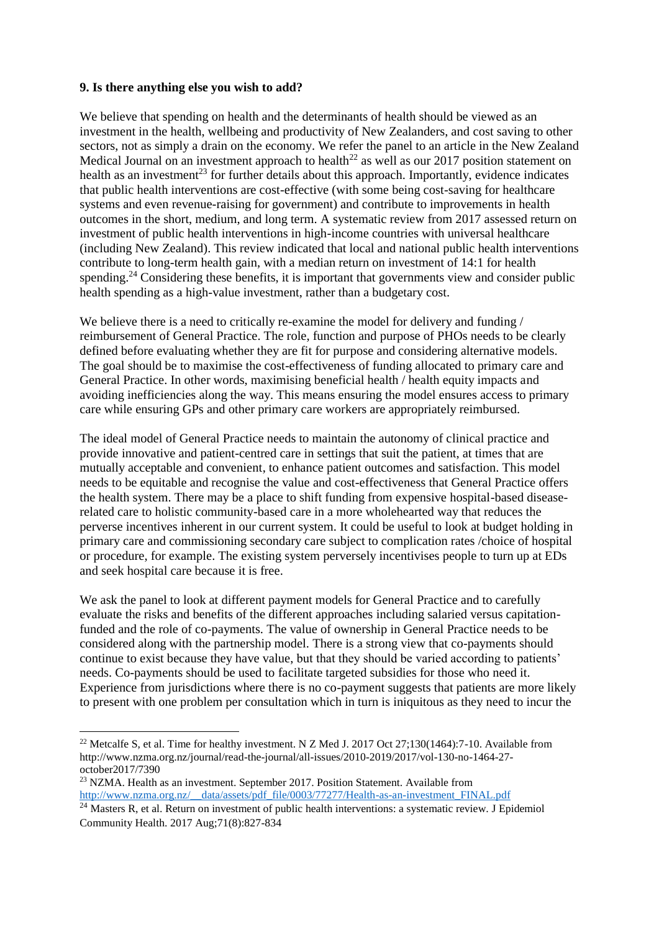#### **9. Is there anything else you wish to add?**

We believe that spending on health and the determinants of health should be viewed as an investment in the health, wellbeing and productivity of New Zealanders, and cost saving to other sectors, not as simply a drain on the economy. We refer the panel to an article in the New Zealand Medical Journal on an investment approach to health<sup>22</sup> as well as our 2017 position statement on health as an investment<sup>23</sup> for further details about this approach. Importantly, evidence indicates that public health interventions are cost-effective (with some being cost-saving for healthcare systems and even revenue-raising for government) and contribute to improvements in health outcomes in the short, medium, and long term. A systematic review from 2017 assessed return on investment of public health interventions in high-income countries with universal healthcare (including New Zealand). This review indicated that local and national public health interventions contribute to long-term health gain, with a median return on investment of 14:1 for health spending.<sup>24</sup> Considering these benefits, it is important that governments view and consider public health spending as a high-value investment, rather than a budgetary cost.

We believe there is a need to critically re-examine the model for delivery and funding / reimbursement of General Practice. The role, function and purpose of PHOs needs to be clearly defined before evaluating whether they are fit for purpose and considering alternative models. The goal should be to maximise the cost-effectiveness of funding allocated to primary care and General Practice. In other words, maximising beneficial health / health equity impacts and avoiding inefficiencies along the way. This means ensuring the model ensures access to primary care while ensuring GPs and other primary care workers are appropriately reimbursed.

The ideal model of General Practice needs to maintain the autonomy of clinical practice and provide innovative and patient-centred care in settings that suit the patient, at times that are mutually acceptable and convenient, to enhance patient outcomes and satisfaction. This model needs to be equitable and recognise the value and cost-effectiveness that General Practice offers the health system. There may be a place to shift funding from expensive hospital-based diseaserelated care to holistic community-based care in a more wholehearted way that reduces the perverse incentives inherent in our current system. It could be useful to look at budget holding in primary care and commissioning secondary care subject to complication rates /choice of hospital or procedure, for example. The existing system perversely incentivises people to turn up at EDs and seek hospital care because it is free.

We ask the panel to look at different payment models for General Practice and to carefully evaluate the risks and benefits of the different approaches including salaried versus capitationfunded and the role of co-payments. The value of ownership in General Practice needs to be considered along with the partnership model. There is a strong view that co-payments should continue to exist because they have value, but that they should be varied according to patients' needs. Co-payments should be used to facilitate targeted subsidies for those who need it. Experience from jurisdictions where there is no co-payment suggests that patients are more likely to present with one problem per consultation which in turn is iniquitous as they need to incur the

**.** 

<sup>&</sup>lt;sup>22</sup> Metcalfe S, et al. Time for healthy investment. N Z Med J. 2017 Oct 27;130(1464):7-10. Available from http://www.nzma.org.nz/journal/read-the-journal/all-issues/2010-2019/2017/vol-130-no-1464-27 october2017/7390

<sup>&</sup>lt;sup>23</sup> NZMA. Health as an investment. September 2017. Position Statement. Available from [http://www.nzma.org.nz/\\_\\_data/assets/pdf\\_file/0003/77277/Health-as-an-investment\\_FINAL.pdf](http://www.nzma.org.nz/__data/assets/pdf_file/0003/77277/Health-as-an-investment_FINAL.pdf)

<sup>&</sup>lt;sup>24</sup> Masters R, et al. Return on investment of public health interventions: a systematic review. J Epidemiol Community Health. 2017 Aug;71(8):827-834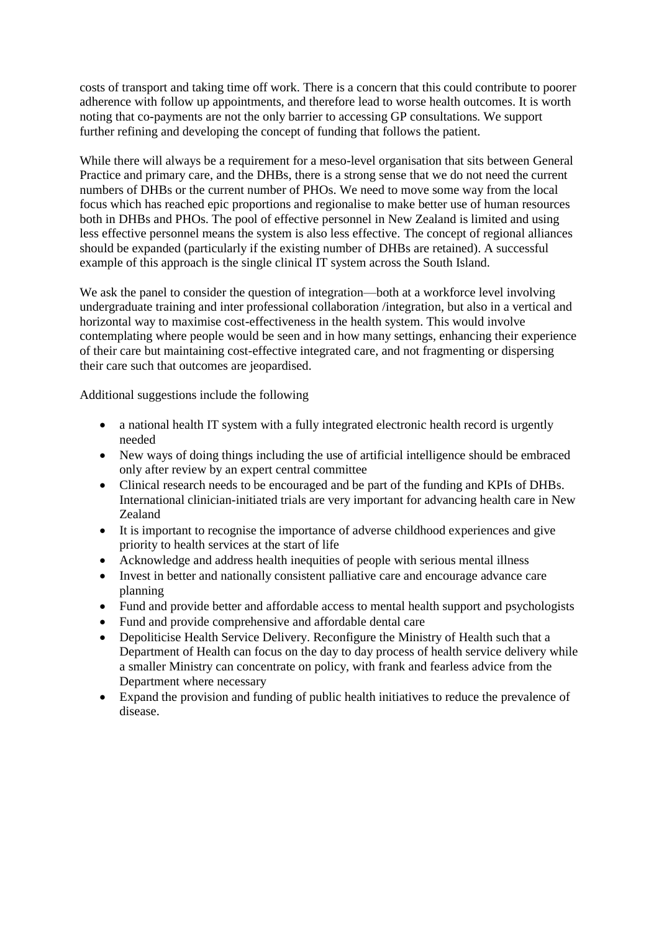costs of transport and taking time off work. There is a concern that this could contribute to poorer adherence with follow up appointments, and therefore lead to worse health outcomes. It is worth noting that co-payments are not the only barrier to accessing GP consultations. We support further refining and developing the concept of funding that follows the patient.

While there will always be a requirement for a meso-level organisation that sits between General Practice and primary care, and the DHBs, there is a strong sense that we do not need the current numbers of DHBs or the current number of PHOs. We need to move some way from the local focus which has reached epic proportions and regionalise to make better use of human resources both in DHBs and PHOs. The pool of effective personnel in New Zealand is limited and using less effective personnel means the system is also less effective. The concept of regional alliances should be expanded (particularly if the existing number of DHBs are retained). A successful example of this approach is the single clinical IT system across the South Island.

We ask the panel to consider the question of integration—both at a workforce level involving undergraduate training and inter professional collaboration /integration, but also in a vertical and horizontal way to maximise cost-effectiveness in the health system. This would involve contemplating where people would be seen and in how many settings, enhancing their experience of their care but maintaining cost-effective integrated care, and not fragmenting or dispersing their care such that outcomes are jeopardised.

Additional suggestions include the following

- a national health IT system with a fully integrated electronic health record is urgently needed
- New ways of doing things including the use of artificial intelligence should be embraced only after review by an expert central committee
- Clinical research needs to be encouraged and be part of the funding and KPIs of DHBs. International clinician-initiated trials are very important for advancing health care in New Zealand
- It is important to recognise the importance of adverse childhood experiences and give priority to health services at the start of life
- Acknowledge and address health inequities of people with serious mental illness
- Invest in better and nationally consistent palliative care and encourage advance care planning
- Fund and provide better and affordable access to mental health support and psychologists
- Fund and provide comprehensive and affordable dental care
- Depoliticise Health Service Delivery. Reconfigure the Ministry of Health such that a Department of Health can focus on the day to day process of health service delivery while a smaller Ministry can concentrate on policy, with frank and fearless advice from the Department where necessary
- Expand the provision and funding of public health initiatives to reduce the prevalence of disease.